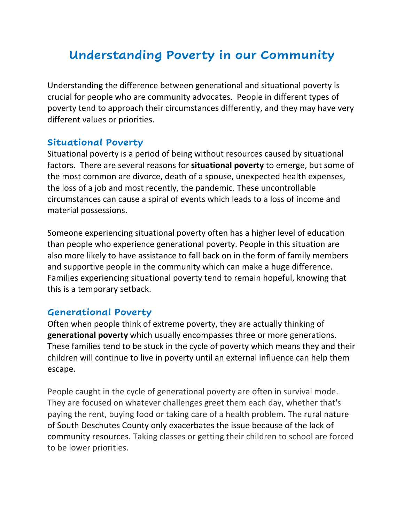# **Understanding Poverty in our Community**

Understanding the difference between generational and situational poverty is crucial for people who are community advocates. People in different types of poverty tend to approach their circumstances differently, and they may have very different values or priorities.

#### **Situational Poverty**

Situational poverty is a period of being without resources caused by situational factors. There are several reasons for **situational poverty** to emerge, but some of the most common are divorce, death of a spouse, unexpected health expenses, the loss of a job and most recently, the pandemic. These uncontrollable circumstances can cause a spiral of events which leads to a loss of income and material possessions.

Someone experiencing situational poverty often has a higher level of education than people who experience generational poverty. People in this situation are also more likely to have assistance to fall back on in the form of family members and supportive people in the community which can make a huge difference. Families experiencing situational poverty tend to remain hopeful, knowing that this is a temporary setback.

### **Generational Poverty**

Often when people think of extreme poverty, they are actually thinking of **generational poverty** which usually encompasses three or more generations. These families tend to be stuck in the cycle of poverty which means they and their children will continue to live in poverty until an external influence can help them escape.

People caught in the cycle of generational poverty are often in survival mode. They are focused on whatever challenges greet them each day, whether that's paying the rent, buying food or taking care of a health problem. The rural nature of South Deschutes County only exacerbates the issue because of the lack of community resources. Taking classes or getting their children to school are forced to be lower priorities.